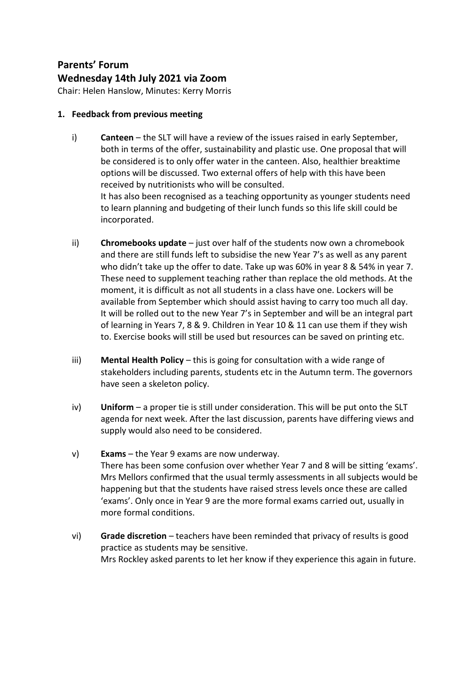## **Parents' Forum Wednesday 14th July 2021 via Zoom**

Chair: Helen Hanslow, Minutes: Kerry Morris

## **1. Feedback from previous meeting**

- i) **Canteen** the SLT will have a review of the issues raised in early September, both in terms of the offer, sustainability and plastic use. One proposal that will be considered is to only offer water in the canteen. Also, healthier breaktime options will be discussed. Two external offers of help with this have been received by nutritionists who will be consulted. It has also been recognised as a teaching opportunity as younger students need to learn planning and budgeting of their lunch funds so this life skill could be incorporated.
- ii) **Chromebooks update** just over half of the students now own a chromebook and there are still funds left to subsidise the new Year 7's as well as any parent who didn't take up the offer to date. Take up was 60% in year 8 & 54% in year 7. These need to supplement teaching rather than replace the old methods. At the moment, it is difficult as not all students in a class have one. Lockers will be available from September which should assist having to carry too much all day. It will be rolled out to the new Year 7's in September and will be an integral part of learning in Years 7, 8 & 9. Children in Year 10 & 11 can use them if they wish to. Exercise books will still be used but resources can be saved on printing etc.
- iii) **Mental Health Policy**  this is going for consultation with a wide range of stakeholders including parents, students etc in the Autumn term. The governors have seen a skeleton policy.
- iv) **Uniform** a proper tie is still under consideration. This will be put onto the SLT agenda for next week. After the last discussion, parents have differing views and supply would also need to be considered.
- v) **Exams**  the Year 9 exams are now underway. There has been some confusion over whether Year 7 and 8 will be sitting 'exams'. Mrs Mellors confirmed that the usual termly assessments in all subjects would be happening but that the students have raised stress levels once these are called 'exams'. Only once in Year 9 are the more formal exams carried out, usually in more formal conditions.
- vi) **Grade discretion** teachers have been reminded that privacy of results is good practice as students may be sensitive. Mrs Rockley asked parents to let her know if they experience this again in future.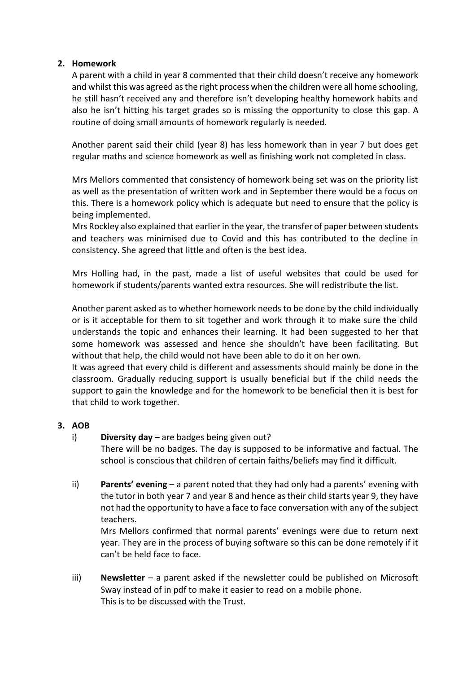## **2. Homework**

A parent with a child in year 8 commented that their child doesn't receive any homework and whilst this was agreed as the right process when the children were all home schooling, he still hasn't received any and therefore isn't developing healthy homework habits and also he isn't hitting his target grades so is missing the opportunity to close this gap. A routine of doing small amounts of homework regularly is needed.

Another parent said their child (year 8) has less homework than in year 7 but does get regular maths and science homework as well as finishing work not completed in class.

Mrs Mellors commented that consistency of homework being set was on the priority list as well as the presentation of written work and in September there would be a focus on this. There is a homework policy which is adequate but need to ensure that the policy is being implemented.

Mrs Rockley also explained that earlier in the year, the transfer of paper between students and teachers was minimised due to Covid and this has contributed to the decline in consistency. She agreed that little and often is the best idea.

Mrs Holling had, in the past, made a list of useful websites that could be used for homework if students/parents wanted extra resources. She will redistribute the list.

Another parent asked as to whether homework needs to be done by the child individually or is it acceptable for them to sit together and work through it to make sure the child understands the topic and enhances their learning. It had been suggested to her that some homework was assessed and hence she shouldn't have been facilitating. But without that help, the child would not have been able to do it on her own.

It was agreed that every child is different and assessments should mainly be done in the classroom. Gradually reducing support is usually beneficial but if the child needs the support to gain the knowledge and for the homework to be beneficial then it is best for that child to work together.

## **3. AOB**

i) **Diversity day –** are badges being given out?

There will be no badges. The day is supposed to be informative and factual. The school is conscious that children of certain faiths/beliefs may find it difficult.

ii) **Parents' evening** – a parent noted that they had only had a parents' evening with the tutor in both year 7 and year 8 and hence as their child starts year 9, they have not had the opportunity to have a face to face conversation with any of the subject teachers.

Mrs Mellors confirmed that normal parents' evenings were due to return next year. They are in the process of buying software so this can be done remotely if it can't be held face to face.

iii) **Newsletter** – a parent asked if the newsletter could be published on Microsoft Sway instead of in pdf to make it easier to read on a mobile phone. This is to be discussed with the Trust.